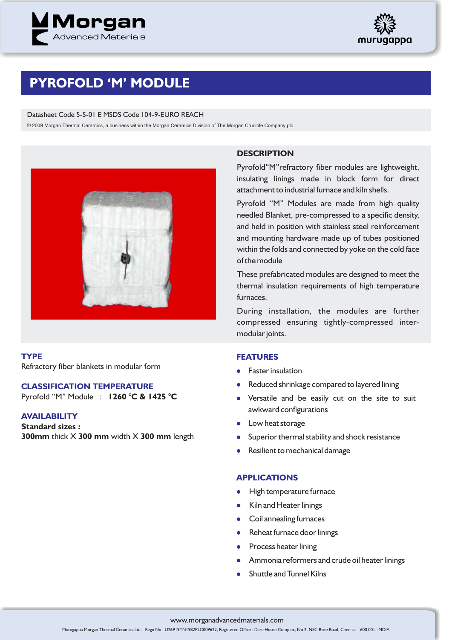



# **PYROFOLD 'M' MODULE**

#### Datasheet Code 5-5-01 E MSDS Code 104-9-EURO REACH

© 2009 Morgan Thermal Ceramics, a business within the Morgan Ceramics Division of The Morgan Crucible Company plc



**TYPE** Refractory fiber blankets in modular form

### **CLASSIFICATION TEMPERATURE**

Pyrofold "M" Module : **1260 °C & 1425 °C**

# **AVAILABILITY**

**Standard sizes : 300mm** thick X **300 mm** width X **300 mm** length

## **DESCRIPTION**

Pyrofold"M"refractory fiber modules are lightweight, insulating linings made in block form for direct attachment to industrial furnace and kiln shells.

Pyrofold "M" Modules are made from high quality needled Blanket, pre-compressed to a specific density, and held in position with stainless steel reinforcement and mounting hardware made up of tubes positioned within the folds and connected by yoke on the cold face of the module

These prefabricated modules are designed to meet the thermal insulation requirements of high temperature furnaces.

During installation, the modules are further compressed ensuring tightly-compressed intermodular joints.

## **FEATURES**

- **•** Faster insulation
- l Reduced shrinkage compared to layered lining
- Versatile and be easily cut on the site to suit awkward configurations
- Low heat storage
- **•** Superior thermal stability and shock resistance
- **•** Resilient to mechanical damage

#### **APPLICATIONS**

- **•** High temperature furnace
- Kiln and Heater linings
- **•** Coil annealing furnaces
- Reheat furnace door linings
- Process heater lining
- **•** Ammonia reformers and crude oil heater linings
- $\bullet$ Shuttle and Tunnel Kilns

#### www.morganadvancedmaterials.com

Murugappa Morgan Thermal Ceramics Ltd. Regn No : U26919TN1982PLC009622, Registered Office : Dare House Complex, No 2, NSC Bose Road, Chennai – 600 001. INDIA